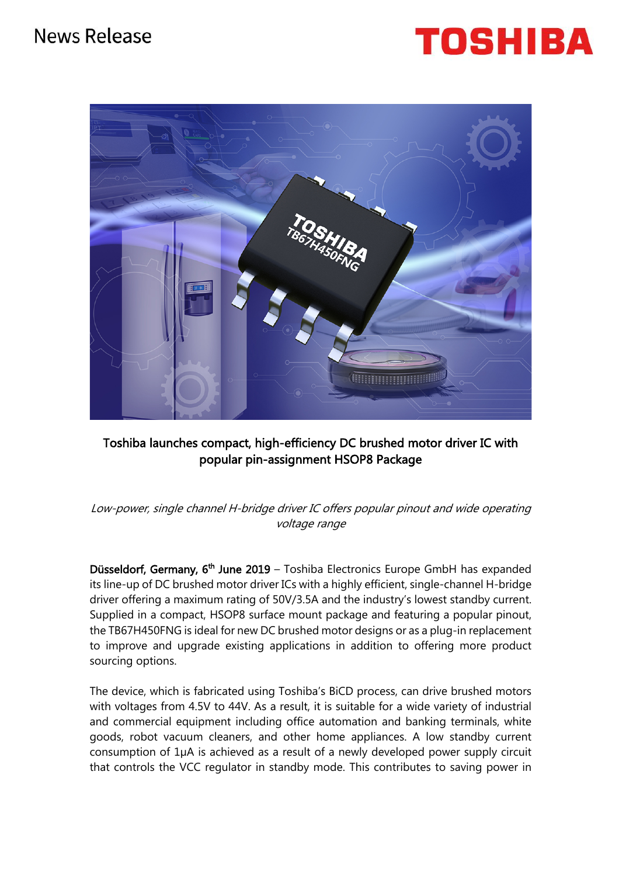



# Toshiba launches compact, high-efficiency DC brushed motor driver IC with popular pin-assignment HSOP8 Package

Low-power, single channel H-bridge driver IC offers popular pinout and wide operating voltage range

Düsseldorf, Germany,  $6<sup>th</sup>$  June 2019 – Toshiba Electronics Europe GmbH has expanded its line-up of DC brushed motor driver ICs with a highly efficient, single-channel H-bridge driver offering a maximum rating of 50V/3.5A and the industry's lowest standby current. Supplied in a compact, HSOP8 surface mount package and featuring a popular pinout, the TB67H450FNG is ideal for new DC brushed motor designs or as a plug-in replacement to improve and upgrade existing applications in addition to offering more product sourcing options.

The device, which is fabricated using Toshiba's BiCD process, can drive brushed motors with voltages from 4.5V to 44V. As a result, it is suitable for a wide variety of industrial and commercial equipment including office automation and banking terminals, white goods, robot vacuum cleaners, and other home appliances. A low standby current consumption of 1µA is achieved as a result of a newly developed power supply circuit that controls the VCC regulator in standby mode. This contributes to saving power in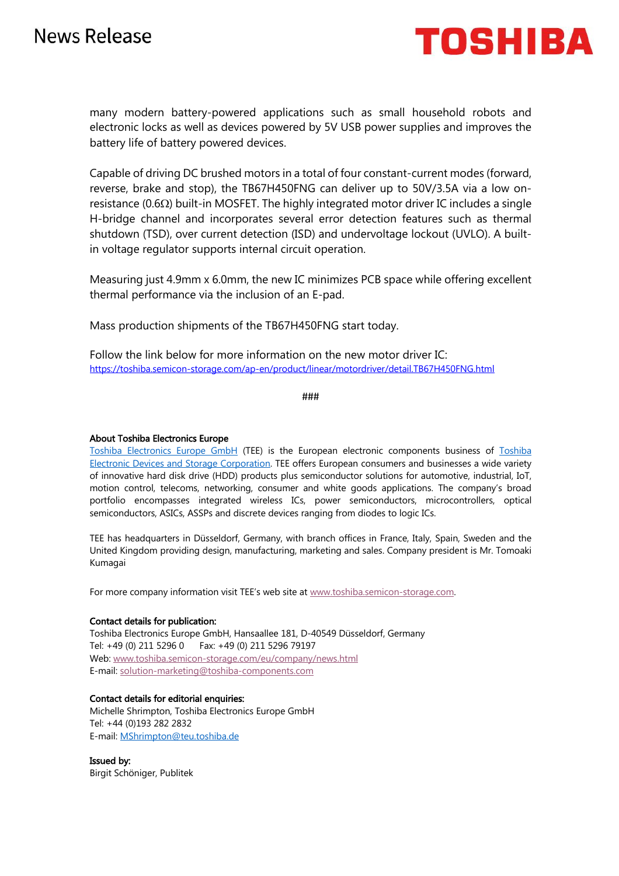

many modern battery-powered applications such as small household robots and electronic locks as well as devices powered by 5V USB power supplies and improves the battery life of battery powered devices.

Capable of driving DC brushed motors in a total of four constant-current modes (forward, reverse, brake and stop), the TB67H450FNG can deliver up to 50V/3.5A via a low onresistance ( $0.6\Omega$ ) built-in MOSFET. The highly integrated motor driver IC includes a single H-bridge channel and incorporates several error detection features such as thermal shutdown (TSD), over current detection (ISD) and undervoltage lockout (UVLO). A builtin voltage regulator supports internal circuit operation.

Measuring just 4.9mm x 6.0mm, the new IC minimizes PCB space while offering excellent thermal performance via the inclusion of an E-pad.

Mass production shipments of the TB67H450FNG start today.

Follow the link below for more information on the new motor driver IC: https://toshiba.semicon-storage.com/ap-en/product/linear/motordriver/detail.TB67H450FNG.html

###

## About Toshiba Electronics Europe

Toshiba Electronics Europe GmbH (TEE) is the European electronic components business of Toshiba Electronic Devices and Storage Corporation. TEE offers European consumers and businesses a wide variety of innovative hard disk drive (HDD) products plus semiconductor solutions for automotive, industrial, IoT, motion control, telecoms, networking, consumer and white goods applications. The company's broad portfolio encompasses integrated wireless ICs, power semiconductors, microcontrollers, optical semiconductors, ASICs, ASSPs and discrete devices ranging from diodes to logic ICs.

TEE has headquarters in Düsseldorf, Germany, with branch offices in France, Italy, Spain, Sweden and the United Kingdom providing design, manufacturing, marketing and sales. Company president is Mr. Tomoaki Kumagai

For more company information visit TEE's web site at www.toshiba.semicon-storage.com.

#### Contact details for publication:

Toshiba Electronics Europe GmbH, Hansaallee 181, D-40549 Düsseldorf, Germany Tel: +49 (0) 211 5296 0 Fax: +49 (0) 211 5296 79197 Web: www.toshiba.semicon-storage.com/eu/company/news.html E-mail: solution-marketing@toshiba-components.com

### Contact details for editorial enquiries:

Michelle Shrimpton, Toshiba Electronics Europe GmbH Tel: +44 (0)193 282 2832 E-mail: MShrimpton@teu.toshiba.de

Issued by: Birgit Schöniger, Publitek